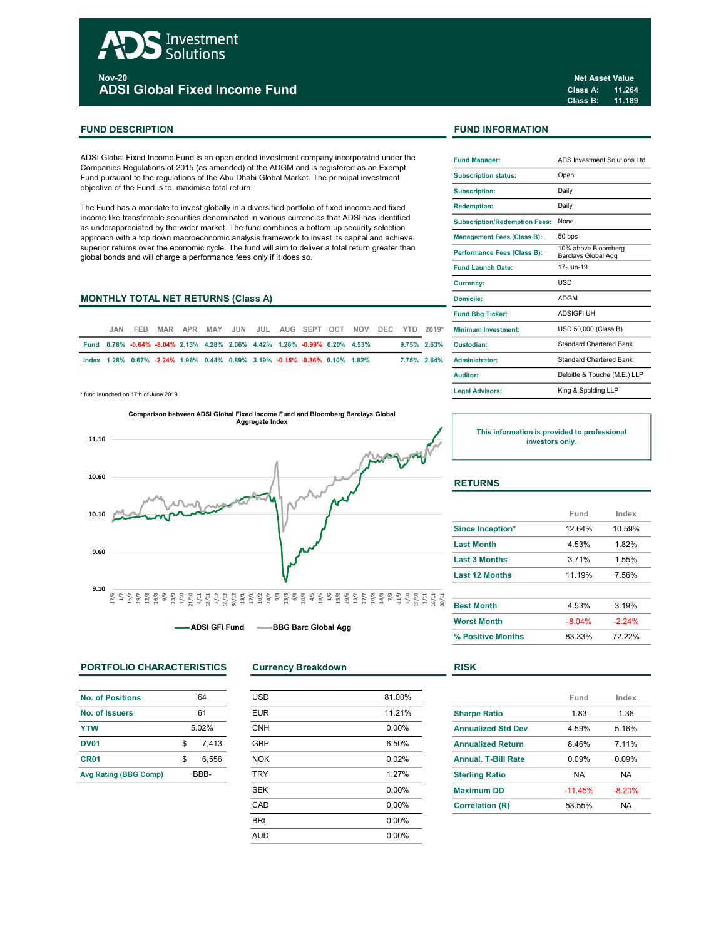# Investment Solutions

<sub>Nov-20</sub><br>ADSI Global Fixed Income Fund

# FUND DESCRIPTION FUND INFORMATION

ADSI Global Fixed Income Fund is an open ended investment company incorporated under the Companies Regulations of 2015 (as amended) of the ADGM and is registered as an Exempt Fund pursuant to the regulations of the Abu Dhabi Global Market. The principal investment objective of the Fund is to maximise total return.

The Fund has a mandate to invest globally in a diversified portfolio of fixed income and fixed income like transferable securities denominated in various currencies that ADSI has identified as underappreciated by the wider market. The fund combines a bottom up security selection approach with a top down macroeconomic analysis framework to invest its capital and achieve superior returns over the economic cycle. The fund will aim to deliver a total return greater than global bonds and will charge a performance fees only if it does so.

# MONTHLY TOTAL NET RETURNS (Class A)

| .JAN                                                                       | FFB. |  |  |  |  | MAR APR MAY JUN JUL AUG SEPT OCT NOV DEC YTD 2019* |  |                | <b>Minimum Investment:</b> |
|----------------------------------------------------------------------------|------|--|--|--|--|----------------------------------------------------|--|----------------|----------------------------|
| Fund 0.78% -0.64% -8.04% 2.13% 4.28% 2.06% 4.42% 1.26% -0.99% 0.20% 4.53%  |      |  |  |  |  |                                                    |  | $9.75\%$ 2.63% | Custodian:                 |
| lndex 1.28% 0.67% -2.24% 1.96% 0.44% 0.89% 3.19% -0.15% -0.36% 0.10% 1.82% |      |  |  |  |  |                                                    |  | $7.75\%$ 2.64% | <b>Administrator:</b>      |

\* fund launched on 17th of June 2019



-ADSI GFI Fund -- BBG Barc Global Agg

# PORTFOLIO CHARACTERISTICS Currency Breakdown RISK

| No. of Positions             | 64          |
|------------------------------|-------------|
| No. of Issuers               | 61          |
| <b>YTW</b>                   | 5.02%       |
| <b>DV01</b>                  | \$<br>7.413 |
| CR <sub>01</sub>             | \$<br>6.556 |
| <b>Avg Rating (BBG Comp)</b> | BBB-        |

| <b>USD</b> | 81.00%   |
|------------|----------|
| <b>EUR</b> | 11.21%   |
| <b>CNH</b> | $0.00\%$ |
| <b>GBP</b> | 6.50%    |
| <b>NOK</b> | 0.02%    |
| <b>TRY</b> | 1.27%    |
| <b>SEK</b> | 0.00%    |
| CAD        | 0.00%    |
| <b>BRL</b> | 0.00%    |
| <b>AUD</b> | 0.00%    |
|            |          |

Net Asset Value

| <b>Fund Manager:</b>                 | ADS Investment Solutions Ltd               |
|--------------------------------------|--------------------------------------------|
| <b>Subscription status:</b>          | Open                                       |
| <b>Subscription:</b>                 | Daily                                      |
| <b>Redemption:</b>                   | Daily                                      |
| <b>Subscription/Redemption Fees:</b> | None                                       |
| <b>Management Fees (Class B):</b>    | 50 bps                                     |
| Performance Fees (Class B):          | 10% above Bloomberg<br>Barclays Global Agg |
| <b>Fund Launch Date:</b>             | 17-Jun-19                                  |
| <b>Currency:</b>                     | USD                                        |
| Domicile:                            | <b>ADGM</b>                                |
| <b>Fund Bbg Ticker:</b>              | <b>ADSIGFI UH</b>                          |
| <b>Minimum Investment:</b>           | USD 50,000 (Class B)                       |
| Custodian:                           | <b>Standard Chartered Bank</b>             |
| Administrator:                       | <b>Standard Chartered Bank</b>             |
| Auditor:                             | Deloitte & Touche (M.E.) LLP               |
| <b>Legal Advisors:</b>               | King & Spalding LLP                        |

This information is provided to professional investors only.

# **RETURNS**

|                       | Fund     | Index    |
|-----------------------|----------|----------|
| Since Inception*      | 12.64%   | 10.59%   |
| <b>Last Month</b>     | 4.53%    | 1.82%    |
| <b>Last 3 Months</b>  | 3.71%    | 1.55%    |
| <b>Last 12 Months</b> | 11.19%   | 7.56%    |
| <b>Best Month</b>     | 4.53%    | 3.19%    |
| <b>Worst Month</b>    | $-8.04%$ | $-2.24%$ |
| % Positive Months     | 83.33%   | 72.22%   |

|                            | Fund      | Index    |
|----------------------------|-----------|----------|
| <b>Sharpe Ratio</b>        | 1.83      | 1.36     |
| <b>Annualized Std Dev</b>  | 4.59%     | 5.16%    |
| <b>Annualized Return</b>   | 846%      | 7 11%    |
| <b>Annual, T-Bill Rate</b> | 0.09%     | 0.09%    |
| <b>Sterling Ratio</b>      | <b>NA</b> | NA.      |
| <b>Maximum DD</b>          | $-11.45%$ | $-8.20%$ |
| <b>Correlation (R)</b>     | 53.55%    | NA       |